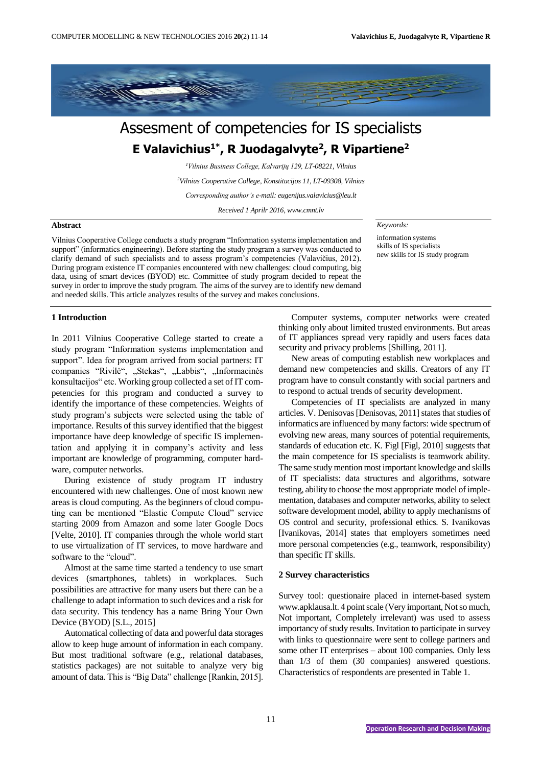

# Assesment of competencies for IS specialists **E Valavichius1\* , R Juodagalvyte<sup>2</sup> , R Vipartiene<sup>2</sup>**

*<sup>1</sup>Vilnius Business College, Kalvarijų 129, LT-08221, Vilnius*

*<sup>2</sup>Vilnius Cooperative College, Konstitucijos 11, LT-09308, Vilnius*

*Corresponding author's e-mail: eugenijus.valavicius@leu.lt*

*Received 1 Aprilr 2016, www.cmnt.lv*

## **Abstract**

Vilnius Cooperative College conducts a study program "Information systems implementation and support" (informatics engineering). Before starting the study program a survey was conducted to clarify demand of such specialists and to assess program's competencies (Valavičius, 2012). During program existence IT companies encountered with new challenges: cloud computing, big data, using of smart devices (BYOD) etc. Committee of study program decided to repeat the survey in order to improve the study program. The aims of the survey are to identify new demand and needed skills. This article analyzes results of the survey and makes conclusions.

### *Keywords:*

information systems skills of IS specialists new skills for IS study program

## **1 Introduction**

In 2011 Vilnius Cooperative College started to create a study program "Information systems implementation and support". Idea for program arrived from social partners: IT companies "Rivilė", "Stekas", "Labbis", "Informacinės konsultacijos" etc. Working group collected a set of IT competencies for this program and conducted a survey to identify the importance of these competencies. Weights of study program's subjects were selected using the table of importance. Results of this survey identified that the biggest importance have deep knowledge of specific IS implementation and applying it in company's activity and less important are knowledge of programming, computer hardware, computer networks.

During existence of study program IT industry encountered with new challenges. One of most known new areas is cloud computing. As the beginners of cloud computing can be mentioned "Elastic Compute Cloud" service starting 2009 from Amazon and some later Google Docs [Velte, 2010]. IT companies through the whole world start to use virtualization of IT services, to move hardware and software to the "cloud".

Almost at the same time started a tendency to use smart devices (smartphones, tablets) in workplaces. Such possibilities are attractive for many users but there can be a challenge to adapt information to such devices and a risk for data security. This tendency has a name Bring Your Own Device (BYOD) [S.L., 2015]

Automatical collecting of data and powerful data storages allow to keep huge amount of information in each company. But most traditional software (e.g., relational databases, statistics packages) are not suitable to analyze very big amount of data. This is "Big Data" challenge [Rankin, 2015].

Computer systems, computer networks were created thinking only about limited trusted environments. But areas of IT appliances spread very rapidly and users faces data security and privacy problems [Shilling, 2011].

New areas of computing establish new workplaces and demand new competencies and skills. Creators of any IT program have to consult constantly with social partners and to respond to actual trends of security development.

Competencies of IT specialists are analyzed in many articles. V. Denisovas [Denisovas, 2011] states that studies of informatics are influenced by many factors: wide spectrum of evolving new areas, many sources of potential requirements, standards of education etc. K. Figl [Figl, 2010] suggests that the main competence for IS specialists is teamwork ability. The same study mention most important knowledge and skills of IT specialists: data structures and algorithms, sotware testing, ability to choose the most appropriate model of implementation, databases and computer networks, ability to select software development model, ability to apply mechanisms of OS control and security, professional ethics. S. Ivanikovas [Ivanikovas, 2014] states that employers sometimes need more personal competencies (e.g., teamwork, responsibility) than specific IT skills.

### **2 Survey characteristics**

Survey tool: questionaire placed in internet-based system [www.apklausa.lt.](http://www.apklausa.lt/) 4 point scale (Very important, Not so much, Not important, Completely irrelevant) was used to assess importancy of study results. Invitation to participate in survey with links to questionnaire were sent to college partners and some other IT enterprises – about 100 companies. Only less than 1/3 of them (30 companies) answered questions. Characteristics of respondents are presented in Table 1.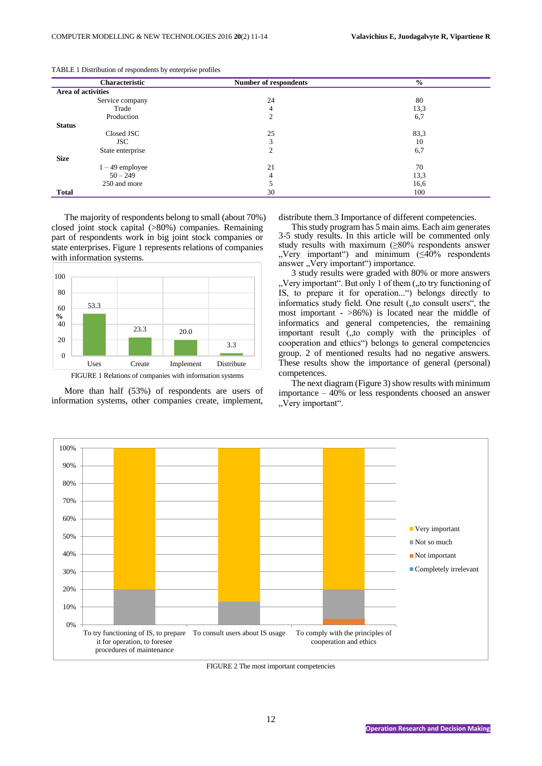| Characteristic     | <b>Number of respondents</b> | $\frac{6}{6}$ |
|--------------------|------------------------------|---------------|
| Area of activities |                              |               |
| Service company    | 24                           | 80            |
| Trade              | 4                            | 13,3          |
| Production         | $\overline{2}$               | 6,7           |
| <b>Status</b>      |                              |               |
| Closed JSC         | 25                           | 83,3          |
| <b>JSC</b>         | 3                            | 10            |
| State enterprise   | 2                            | 6,7           |
| <b>Size</b>        |                              |               |
| $1 - 49$ employee  | 21                           | 70            |
| $50 - 249$         | 4                            | 13,3          |
| 250 and more       |                              | 16,6          |
| <b>Total</b>       | 30                           | 100           |

TABLE 1 Distribution of respondents by enterprise profiles

The majority of respondents belong to small (about 70%) closed joint stock capital (>80%) companies. Remaining part of respondents work in big joint stock companies or state enterprises. Figure 1 represents relations of companies with information systems.



FIGURE 1 Relations of companies with information systems

More than half (53%) of respondents are users of information systems, other companies create, implement,

distribute them.3 Importance of different competencies.

This study program has 5 main aims. Each aim generates 3-5 study results. In this article will be commented only study results with maximum (≥80% respondents answer "Very important") and minimum  $(\leq 40\%$  respondents answer "Very important") importance.

3 study results were graded with 80% or more answers ", Very important". But only 1 of them (", to try functioning of IS, to prepare it for operation...") belongs directly to informatics study field. One result  $($ , to consult users $"$ , the most important - >86%) is located near the middle of informatics and general competencies, the remaining important result  $\tilde{I}_{t}$ , to comply with the principles of cooperation and ethics") belongs to general competencies group. 2 of mentioned results had no negative answers. These results show the importance of general (personal) competences.

The next diagram (Figure 3) show results with minimum importance – 40% or less respondents choosed an answer "Very important".



FIGURE 2 The most important competencies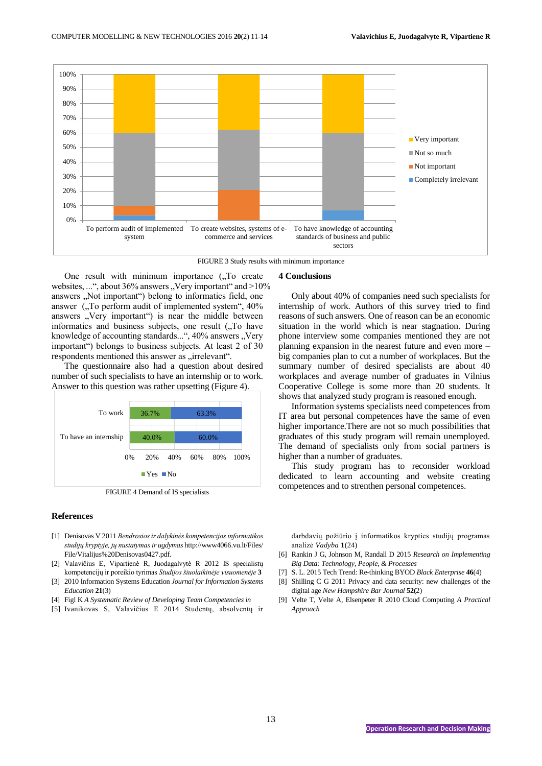![](_page_2_Figure_2.jpeg)

FIGURE 3 Study results with minimum importance

One result with minimum importance  $($ , To create websites, ...", about 36% answers "Very important" and >10% answers "Not important") belong to informatics field, one answer  $\alpha$ . To perform audit of implemented system $\alpha$ , 40% answers "Very important") is near the middle between informatics and business subjects, one result ("To have knowledge of accounting standards...", 40% answers "Very important") belongs to business subjects. At least 2 of 30 respondents mentioned this answer as "irrelevant".

The questionnaire also had a question about desired number of such specialists to have an internship or to work. Answer to this question was rather upsetting (Figure 4).

![](_page_2_Figure_6.jpeg)

FIGURE 4 Demand of IS specialists

#### **References**

- [1] Denisovas V 2011 *Bendrosios ir dalykinės kompetencijos informatikos studijų kryptyje, jų nustatymas ir ugdymas* http://www4066.vu.lt/Files/ File/Vitalijus%20Denisovas0427.pdf.
- [2] Valavičius E, Vipartienė R, Juodagalvytė R 2012 IS specialistų kompetencijų ir poreikio tyrimas *Studijos šiuolaikinėje visuomenėje* **3**
- [3] 2010 Information Systems Education *Journal for Information Systems Education* **21**(3)
- [4] Figl K *A Systematic Review of Developing Team Competencies in*
- [5] Ivanikovas S, Valavičius E 2014 Studentų, absolventų ir

## **4 Conclusions**

Only about 40% of companies need such specialists for internship of work. Authors of this survey tried to find reasons of such answers. One of reason can be an economic situation in the world which is near stagnation. During phone interview some companies mentioned they are not planning expansion in the nearest future and even more – big companies plan to cut a number of workplaces. But the summary number of desired specialists are about 40 workplaces and average number of graduates in Vilnius Cooperative College is some more than 20 students. It shows that analyzed study program is reasoned enough.

Information systems specialists need competences from IT area but personal competences have the same of even higher importance.There are not so much possibilities that graduates of this study program will remain unemployed. The demand of specialists only from social partners is higher than a number of graduates.

This study program has to reconsider workload dedicated to learn accounting and website creating competences and to strenthen personal competences.

darbdavių požiūrio į informatikos krypties studijų programas analizė *Vadyba* **1**(24)

- [6] Rankin J G, Johnson M, Randall D 2015 *Research on Implementing Big Data: Technology, People, & Processes*
- [7] S. L. 2015 Tech Trend: Re-thinking BYOD *Black Enterprise* **46**(4)
- [8] Shilling C G 2011 Privacy and data security: new challenges of the digital age *New Hampshire Bar Journal* **52(**2)
- [9] Velte T, Velte A, Elsenpeter R 2010 Cloud Computing *A Practical Approach*